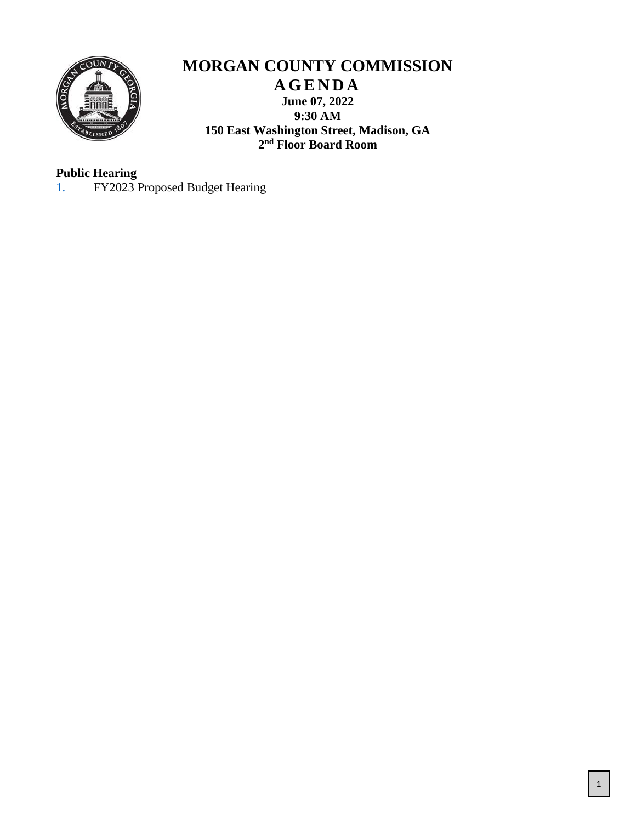

## **MORGAN COUNTY COMMISSION A G E N D A June 07, 2022 9:30 AM 150 East Washington Street, Madison, GA 2 nd Floor Board Room**

## **Public Hearing**

[1.](#page-1-0) FY2023 Proposed Budget Hearing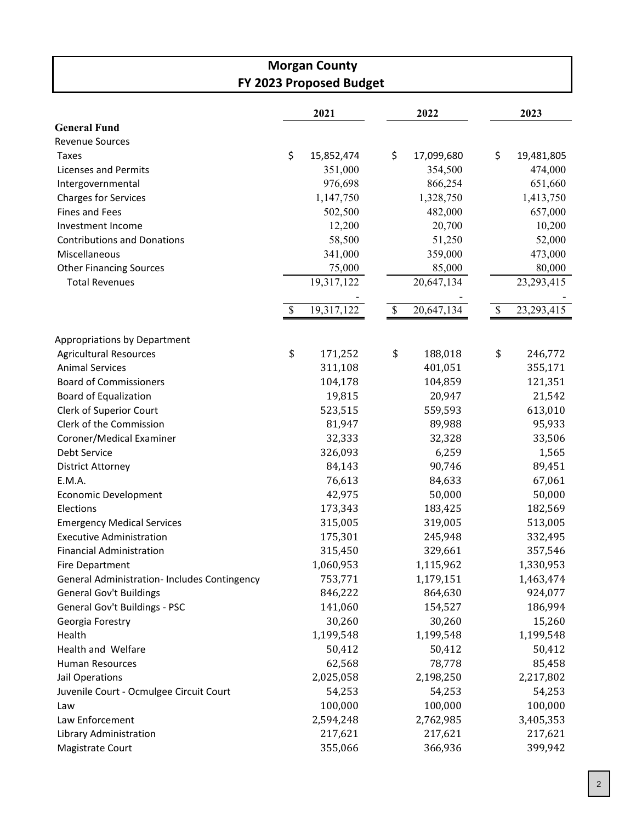<span id="page-1-0"></span>

| <b>Morgan County</b><br>FY 2023 Proposed Budget     |    |            |    |            |                           |              |  |  |
|-----------------------------------------------------|----|------------|----|------------|---------------------------|--------------|--|--|
|                                                     |    |            |    |            |                           |              |  |  |
| <b>General Fund</b>                                 |    | 2021       |    | 2022       |                           | 2023         |  |  |
| <b>Revenue Sources</b>                              |    |            |    |            |                           |              |  |  |
| <b>Taxes</b>                                        | \$ | 15,852,474 | \$ | 17,099,680 | \$                        | 19,481,805   |  |  |
| <b>Licenses and Permits</b>                         |    | 351,000    |    | 354,500    |                           | 474,000      |  |  |
|                                                     |    | 976,698    |    | 866,254    |                           | 651,660      |  |  |
| Intergovernmental<br><b>Charges for Services</b>    |    | 1,147,750  |    | 1,328,750  |                           | 1,413,750    |  |  |
|                                                     |    |            |    |            |                           |              |  |  |
| <b>Fines and Fees</b>                               |    | 502,500    |    | 482,000    |                           | 657,000      |  |  |
| Investment Income                                   |    | 12,200     |    | 20,700     |                           | 10,200       |  |  |
| <b>Contributions and Donations</b>                  |    | 58,500     |    | 51,250     |                           | 52,000       |  |  |
| Miscellaneous                                       |    | 341,000    |    | 359,000    |                           | 473,000      |  |  |
| <b>Other Financing Sources</b>                      |    | 75,000     |    | 85,000     |                           | 80,000       |  |  |
| <b>Total Revenues</b>                               |    | 19,317,122 |    | 20,647,134 |                           | 23, 293, 415 |  |  |
|                                                     | \$ | 19,317,122 | \$ | 20,647,134 | $\boldsymbol{\mathsf{S}}$ | 23, 293, 415 |  |  |
| Appropriations by Department                        |    |            |    |            |                           |              |  |  |
| <b>Agricultural Resources</b>                       | \$ | 171,252    | \$ | 188,018    | \$                        | 246,772      |  |  |
| <b>Animal Services</b>                              |    | 311,108    |    | 401,051    |                           | 355,171      |  |  |
| <b>Board of Commissioners</b>                       |    | 104,178    |    | 104,859    |                           | 121,351      |  |  |
| <b>Board of Equalization</b>                        |    | 19,815     |    | 20,947     |                           | 21,542       |  |  |
| Clerk of Superior Court                             |    | 523,515    |    | 559,593    |                           | 613,010      |  |  |
| Clerk of the Commission                             |    | 81,947     |    | 89,988     |                           | 95,933       |  |  |
| Coroner/Medical Examiner                            |    | 32,333     |    | 32,328     |                           | 33,506       |  |  |
| Debt Service                                        |    | 326,093    |    | 6,259      |                           | 1,565        |  |  |
| <b>District Attorney</b>                            |    | 84,143     |    | 90,746     |                           | 89,451       |  |  |
| E.M.A.                                              |    | 76,613     |    | 84,633     |                           | 67,061       |  |  |
| <b>Economic Development</b>                         |    | 42,975     |    | 50,000     |                           | 50,000       |  |  |
| Elections                                           |    | 173,343    |    | 183,425    |                           | 182,569      |  |  |
| <b>Emergency Medical Services</b>                   |    | 315,005    |    | 319,005    |                           | 513,005      |  |  |
| <b>Executive Administration</b>                     |    | 175,301    |    | 245,948    |                           | 332,495      |  |  |
| <b>Financial Administration</b>                     |    | 315,450    |    | 329,661    |                           | 357,546      |  |  |
| <b>Fire Department</b>                              |    | 1,060,953  |    | 1,115,962  |                           | 1,330,953    |  |  |
| <b>General Administration- Includes Contingency</b> |    | 753,771    |    | 1,179,151  |                           | 1,463,474    |  |  |
| <b>General Gov't Buildings</b>                      |    | 846,222    |    | 864,630    |                           | 924,077      |  |  |
| General Gov't Buildings - PSC                       |    | 141,060    |    | 154,527    |                           | 186,994      |  |  |
| Georgia Forestry                                    |    | 30,260     |    | 30,260     |                           | 15,260       |  |  |
| Health                                              |    | 1,199,548  |    | 1,199,548  |                           | 1,199,548    |  |  |
| Health and Welfare                                  |    | 50,412     |    | 50,412     |                           | 50,412       |  |  |
| <b>Human Resources</b>                              |    | 62,568     |    | 78,778     |                           | 85,458       |  |  |
| Jail Operations                                     |    | 2,025,058  |    | 2,198,250  |                           | 2,217,802    |  |  |
| Juvenile Court - Ocmulgee Circuit Court             |    | 54,253     |    | 54,253     |                           | 54,253       |  |  |
| Law                                                 |    | 100,000    |    | 100,000    |                           | 100,000      |  |  |
| Law Enforcement                                     |    | 2,594,248  |    | 2,762,985  |                           | 3,405,353    |  |  |
| Library Administration                              |    | 217,621    |    | 217,621    |                           | 217,621      |  |  |
| Magistrate Court                                    |    | 355,066    |    | 366,936    |                           | 399,942      |  |  |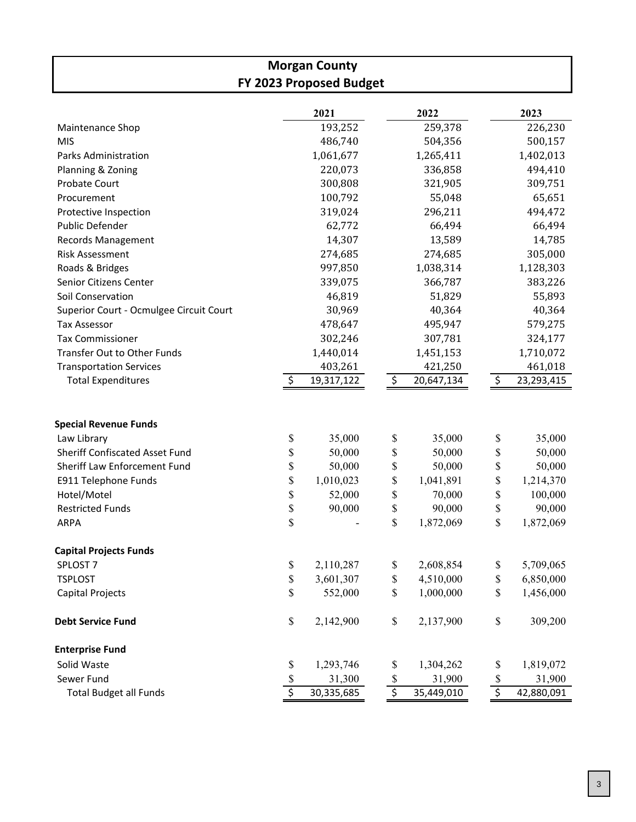| <b>Morgan County</b><br>FY 2023 Proposed Budget                                                                                       |                      |                                         |                      |                                         |                           |                                         |  |  |
|---------------------------------------------------------------------------------------------------------------------------------------|----------------------|-----------------------------------------|----------------------|-----------------------------------------|---------------------------|-----------------------------------------|--|--|
|                                                                                                                                       |                      |                                         |                      |                                         |                           |                                         |  |  |
|                                                                                                                                       |                      | 2021                                    |                      | 2022                                    |                           | 2023                                    |  |  |
| Maintenance Shop                                                                                                                      |                      | 193,252                                 |                      | 259,378                                 |                           | 226,230                                 |  |  |
| <b>MIS</b>                                                                                                                            |                      | 486,740                                 |                      | 504,356                                 |                           | 500,157                                 |  |  |
| <b>Parks Administration</b>                                                                                                           |                      | 1,061,677                               |                      | 1,265,411                               |                           | 1,402,013                               |  |  |
| Planning & Zoning                                                                                                                     |                      | 220,073                                 |                      | 336,858                                 |                           | 494,410                                 |  |  |
| Probate Court                                                                                                                         |                      | 300,808                                 |                      | 321,905                                 |                           | 309,751                                 |  |  |
| Procurement                                                                                                                           |                      | 100,792                                 |                      | 55,048                                  |                           | 65,651                                  |  |  |
| Protective Inspection                                                                                                                 |                      | 319,024                                 |                      | 296,211                                 |                           | 494,472                                 |  |  |
| Public Defender                                                                                                                       |                      | 62,772                                  |                      | 66,494                                  |                           | 66,494                                  |  |  |
| Records Management                                                                                                                    |                      | 14,307                                  |                      | 13,589                                  |                           | 14,785                                  |  |  |
| <b>Risk Assessment</b>                                                                                                                |                      | 274,685                                 |                      | 274,685                                 |                           | 305,000                                 |  |  |
| Roads & Bridges                                                                                                                       |                      | 997,850                                 |                      | 1,038,314                               |                           | 1,128,303                               |  |  |
| Senior Citizens Center                                                                                                                |                      | 339,075                                 |                      | 366,787                                 |                           | 383,226                                 |  |  |
| Soil Conservation                                                                                                                     |                      | 46,819                                  |                      | 51,829                                  |                           | 55,893                                  |  |  |
| Superior Court - Ocmulgee Circuit Court                                                                                               |                      | 30,969                                  |                      | 40,364                                  |                           | 40,364                                  |  |  |
| <b>Tax Assessor</b>                                                                                                                   |                      | 478,647                                 |                      | 495,947                                 |                           | 579,275                                 |  |  |
| <b>Tax Commissioner</b>                                                                                                               |                      | 302,246                                 |                      | 307,781                                 |                           | 324,177                                 |  |  |
| <b>Transfer Out to Other Funds</b>                                                                                                    |                      | 1,440,014                               |                      | 1,451,153                               |                           | 1,710,072                               |  |  |
| <b>Transportation Services</b>                                                                                                        |                      | 403,261                                 |                      | 421,250                                 |                           | 461,018                                 |  |  |
| <b>Total Expenditures</b>                                                                                                             |                      | 19,317,122                              | \$                   | 20,647,134                              | \$                        | 23,293,415                              |  |  |
| <b>Special Revenue Funds</b><br>Law Library<br>Sheriff Confiscated Asset Fund<br>Sheriff Law Enforcement Fund<br>E911 Telephone Funds | \$<br>\$<br>\$<br>\$ | 35,000<br>50,000<br>50,000<br>1,010,023 | \$<br>\$<br>\$<br>\$ | 35,000<br>50,000<br>50,000<br>1,041,891 | \$<br>\$<br>\$<br>\$      | 35,000<br>50,000<br>50,000<br>1,214,370 |  |  |
| Hotel/Motel                                                                                                                           | \$                   | 52,000                                  | \$                   | 70,000                                  | \$                        | 100,000                                 |  |  |
| <b>Restricted Funds</b>                                                                                                               | \$                   | 90,000                                  | \$                   | 90,000                                  | \$                        | 90,000                                  |  |  |
| ARPA                                                                                                                                  | \$                   |                                         | \$                   | 1,872,069                               | $\$$                      | 1,872,069                               |  |  |
| <b>Capital Projects Funds</b>                                                                                                         |                      |                                         |                      |                                         |                           |                                         |  |  |
| SPLOST <sub>7</sub>                                                                                                                   | \$                   | 2,110,287                               | \$                   | 2,608,854                               | \$                        | 5,709,065                               |  |  |
| <b>TSPLOST</b>                                                                                                                        | \$                   | 3,601,307                               | \$                   | 4,510,000                               | \$                        | 6,850,000                               |  |  |
| Capital Projects                                                                                                                      | \$                   | 552,000                                 | \$                   | 1,000,000                               | \$                        | 1,456,000                               |  |  |
| <b>Debt Service Fund</b>                                                                                                              | \$                   | 2,142,900                               | \$                   | 2,137,900                               | $\$$                      | 309,200                                 |  |  |
| <b>Enterprise Fund</b>                                                                                                                |                      |                                         |                      |                                         |                           |                                         |  |  |
| Solid Waste                                                                                                                           | \$                   | 1,293,746                               | \$                   | 1,304,262                               | \$                        | 1,819,072                               |  |  |
| Sewer Fund                                                                                                                            | \$                   | 31,300                                  | \$                   | 31,900                                  | $\boldsymbol{\mathsf{S}}$ | 31,900                                  |  |  |
| <b>Total Budget all Funds</b>                                                                                                         | \$                   | 30,335,685                              | $\overline{\xi}$     | 35,449,010                              | $\overline{\xi}$          | 42,880,091                              |  |  |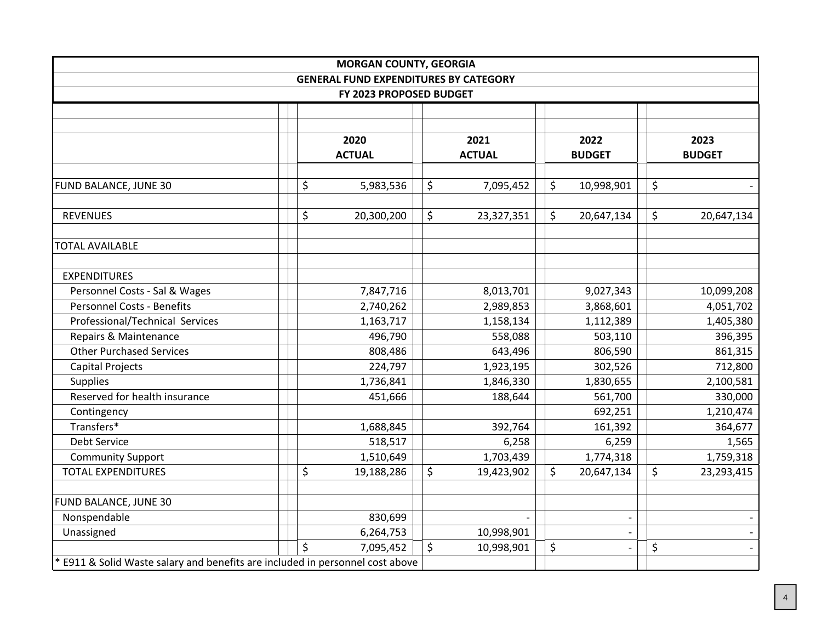| <b>MORGAN COUNTY, GEORGIA</b>                                                 |  |         |               |      |               |         |                          |      |               |
|-------------------------------------------------------------------------------|--|---------|---------------|------|---------------|---------|--------------------------|------|---------------|
| <b>GENERAL FUND EXPENDITURES BY CATEGORY</b>                                  |  |         |               |      |               |         |                          |      |               |
| FY 2023 PROPOSED BUDGET                                                       |  |         |               |      |               |         |                          |      |               |
|                                                                               |  |         |               |      |               |         |                          |      |               |
|                                                                               |  |         |               |      |               |         |                          |      |               |
|                                                                               |  | 2020    |               | 2021 |               | 2022    |                          | 2023 |               |
|                                                                               |  |         | <b>ACTUAL</b> |      | <b>ACTUAL</b> |         | <b>BUDGET</b>            |      | <b>BUDGET</b> |
|                                                                               |  |         |               |      |               |         |                          |      |               |
| FUND BALANCE, JUNE 30                                                         |  | \$      | 5,983,536     | \$   | 7,095,452     | \$      | 10,998,901               | \$   |               |
| <b>REVENUES</b>                                                               |  | \$      | 20,300,200    | \$   | 23,327,351    | \$      | 20,647,134               | \$   | 20,647,134    |
| <b>TOTAL AVAILABLE</b>                                                        |  |         |               |      |               |         |                          |      |               |
| <b>EXPENDITURES</b>                                                           |  |         |               |      |               |         |                          |      |               |
| Personnel Costs - Sal & Wages                                                 |  |         | 7,847,716     |      | 8,013,701     |         | 9,027,343                |      | 10,099,208    |
| <b>Personnel Costs - Benefits</b>                                             |  |         | 2,740,262     |      | 2,989,853     |         | 3,868,601                |      | 4,051,702     |
| Professional/Technical Services                                               |  |         | 1,163,717     |      | 1,158,134     |         | 1,112,389                |      | 1,405,380     |
| Repairs & Maintenance                                                         |  |         | 496,790       |      | 558,088       |         | 503,110                  |      | 396,395       |
| <b>Other Purchased Services</b>                                               |  |         | 808,486       |      | 643,496       |         | 806,590                  |      | 861,315       |
| <b>Capital Projects</b>                                                       |  |         | 224,797       |      | 1,923,195     |         | 302,526                  |      | 712,800       |
| <b>Supplies</b>                                                               |  |         | 1,736,841     |      | 1,846,330     |         | 1,830,655                |      | 2,100,581     |
| Reserved for health insurance                                                 |  | 451,666 |               |      | 188,644       | 561,700 |                          |      | 330,000       |
| Contingency                                                                   |  |         |               |      |               |         | 692,251                  |      | 1,210,474     |
| Transfers*                                                                    |  |         | 1,688,845     |      | 392,764       |         | 161,392                  |      | 364,677       |
| Debt Service                                                                  |  |         | 518,517       |      | 6,258         |         | 6,259                    |      | 1,565         |
| <b>Community Support</b>                                                      |  |         | 1,510,649     |      | 1,703,439     |         | 1,774,318                |      | 1,759,318     |
| <b>TOTAL EXPENDITURES</b>                                                     |  | \$      | 19,188,286    | \$   | 19,423,902    | \$      | 20,647,134               | \$   | 23,293,415    |
|                                                                               |  |         |               |      |               |         |                          |      |               |
| FUND BALANCE, JUNE 30                                                         |  |         |               |      |               |         |                          |      |               |
| Nonspendable                                                                  |  |         | 830,699       |      |               |         |                          |      |               |
| Unassigned                                                                    |  |         | 6,264,753     |      | 10,998,901    |         |                          |      |               |
|                                                                               |  | \$      | 7,095,452     | \$   | 10,998,901    | \$      | $\overline{\phantom{a}}$ | \$   |               |
| * E911 & Solid Waste salary and benefits are included in personnel cost above |  |         |               |      |               |         |                          |      |               |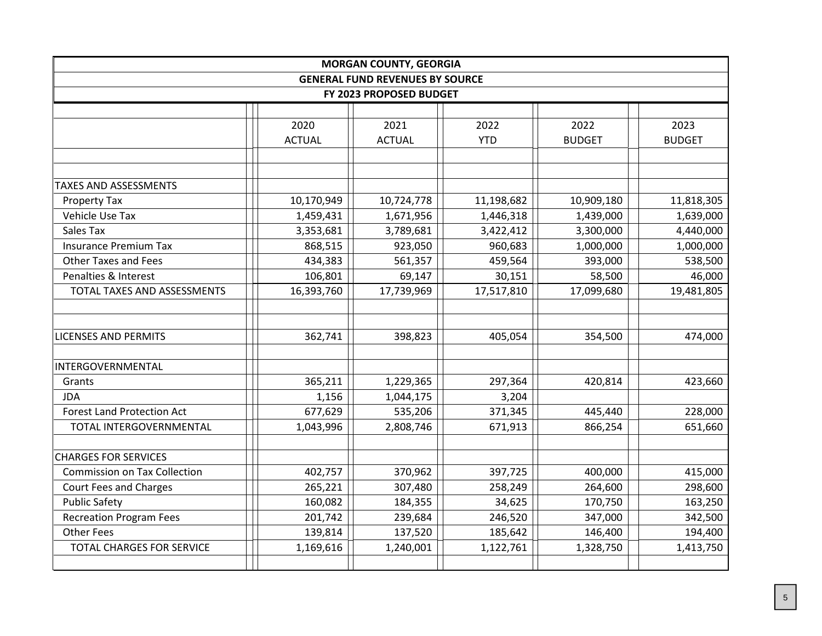| <b>MORGAN COUNTY, GEORGIA</b>          |               |               |            |               |               |  |  |
|----------------------------------------|---------------|---------------|------------|---------------|---------------|--|--|
| <b>GENERAL FUND REVENUES BY SOURCE</b> |               |               |            |               |               |  |  |
| FY 2023 PROPOSED BUDGET                |               |               |            |               |               |  |  |
|                                        |               |               |            |               |               |  |  |
|                                        | 2020          | 2021          | 2022       | 2022          | 2023          |  |  |
|                                        | <b>ACTUAL</b> | <b>ACTUAL</b> | <b>YTD</b> | <b>BUDGET</b> | <b>BUDGET</b> |  |  |
|                                        |               |               |            |               |               |  |  |
|                                        |               |               |            |               |               |  |  |
| <b>TAXES AND ASSESSMENTS</b>           |               |               |            |               |               |  |  |
| Property Tax                           | 10,170,949    | 10,724,778    | 11,198,682 | 10,909,180    | 11,818,305    |  |  |
| Vehicle Use Tax                        | 1,459,431     | 1,671,956     | 1,446,318  | 1,439,000     | 1,639,000     |  |  |
| Sales Tax                              | 3,353,681     | 3,789,681     | 3,422,412  | 3,300,000     | 4,440,000     |  |  |
| <b>Insurance Premium Tax</b>           | 868,515       | 923,050       | 960,683    | 1,000,000     | 1,000,000     |  |  |
| <b>Other Taxes and Fees</b>            | 434,383       | 561,357       | 459,564    | 393,000       | 538,500       |  |  |
| Penalties & Interest                   | 106,801       | 69,147        | 30,151     | 58,500        | 46,000        |  |  |
| TOTAL TAXES AND ASSESSMENTS            | 16,393,760    | 17,739,969    | 17,517,810 | 17,099,680    | 19,481,805    |  |  |
|                                        |               |               |            |               |               |  |  |
|                                        |               |               |            |               |               |  |  |
| <b>LICENSES AND PERMITS</b>            | 362,741       | 398,823       | 405,054    | 354,500       | 474,000       |  |  |
|                                        |               |               |            |               |               |  |  |
| INTERGOVERNMENTAL                      |               |               |            |               |               |  |  |
| Grants                                 | 365,211       | 1,229,365     | 297,364    | 420,814       | 423,660       |  |  |
| <b>JDA</b>                             | 1,156         | 1,044,175     | 3,204      |               |               |  |  |
| <b>Forest Land Protection Act</b>      | 677,629       | 535,206       | 371,345    | 445,440       | 228,000       |  |  |
| TOTAL INTERGOVERNMENTAL                | 1,043,996     | 2,808,746     | 671,913    | 866,254       | 651,660       |  |  |
|                                        |               |               |            |               |               |  |  |
| <b>CHARGES FOR SERVICES</b>            |               |               |            |               |               |  |  |
| <b>Commission on Tax Collection</b>    | 402,757       | 370,962       | 397,725    | 400,000       | 415,000       |  |  |
| <b>Court Fees and Charges</b>          | 265,221       | 307,480       | 258,249    | 264,600       | 298,600       |  |  |
| <b>Public Safety</b>                   | 160,082       | 184,355       | 34,625     | 170,750       | 163,250       |  |  |
| <b>Recreation Program Fees</b>         | 201,742       | 239,684       | 246,520    | 347,000       | 342,500       |  |  |
| <b>Other Fees</b>                      | 139,814       | 137,520       | 185,642    | 146,400       | 194,400       |  |  |
| <b>TOTAL CHARGES FOR SERVICE</b>       | 1,169,616     | 1,240,001     | 1,122,761  | 1,328,750     | 1,413,750     |  |  |
|                                        |               |               |            |               |               |  |  |